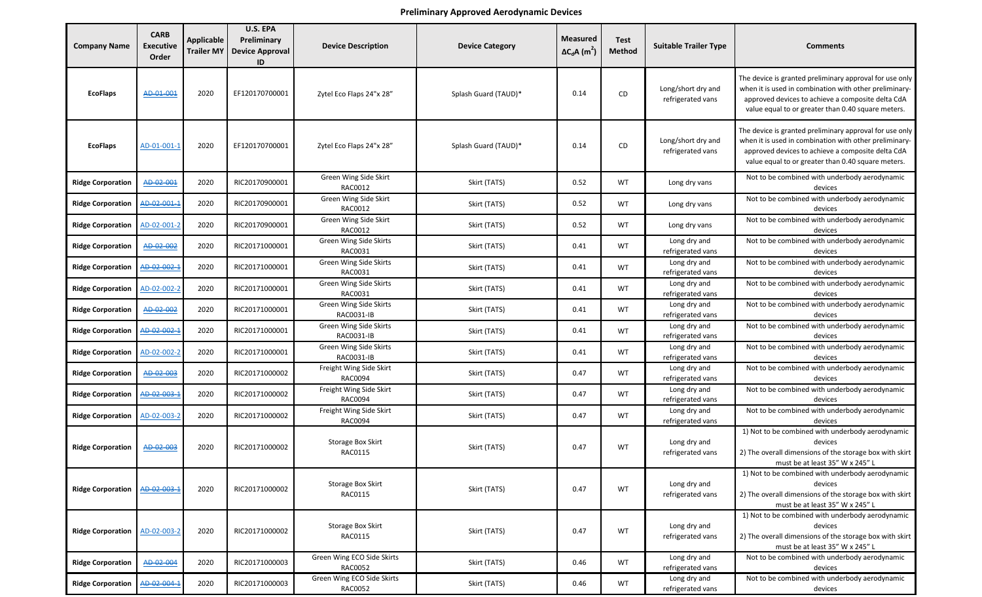## **Preliminary Approved Aerodynamic Devices**

| <b>Company Name</b>      | <b>CARB</b><br><b>Executive</b><br>Order | <b>Applicable</b><br><b>Trailer MY</b> | U.S. EPA<br>Preliminary<br><b>Device Approval</b><br>ID | <b>Device Description</b>                 | <b>Device Category</b> | <b>Measured</b><br>$\Delta C_d$ A (m <sup>2</sup> ) | <b>Test</b><br><b>Method</b> | <b>Suitable Trailer Type</b>            | <b>Comments</b>                                                                                                                                                                                                              |
|--------------------------|------------------------------------------|----------------------------------------|---------------------------------------------------------|-------------------------------------------|------------------------|-----------------------------------------------------|------------------------------|-----------------------------------------|------------------------------------------------------------------------------------------------------------------------------------------------------------------------------------------------------------------------------|
| <b>EcoFlaps</b>          | AD-01-001                                | 2020                                   | EF120170700001                                          | Zytel Eco Flaps 24"x 28"                  | Splash Guard (TAUD)*   | 0.14                                                | CD                           | Long/short dry and<br>refrigerated vans | The device is granted preliminary approval for use only<br>when it is used in combination with other preliminary-<br>approved devices to achieve a composite delta CdA<br>value equal to or greater than 0.40 square meters. |
| <b>EcoFlaps</b>          | AD-01-001-1                              | 2020                                   | EF120170700001                                          | Zytel Eco Flaps 24"x 28"                  | Splash Guard (TAUD)*   | 0.14                                                | CD                           | Long/short dry and<br>refrigerated vans | The device is granted preliminary approval for use only<br>when it is used in combination with other preliminary-<br>approved devices to achieve a composite delta CdA<br>value equal to or greater than 0.40 square meters. |
| <b>Ridge Corporation</b> | AD-02-001                                | 2020                                   | RIC20170900001                                          | Green Wing Side Skirt<br>RAC0012          | Skirt (TATS)           | 0.52                                                | WT                           | Long dry vans                           | Not to be combined with underbody aerodynamic<br>devices                                                                                                                                                                     |
| <b>Ridge Corporation</b> | AD-02-001-1                              | 2020                                   | RIC20170900001                                          | Green Wing Side Skirt<br>RAC0012          | Skirt (TATS)           | 0.52                                                | WT                           | Long dry vans                           | Not to be combined with underbody aerodynamic<br>devices                                                                                                                                                                     |
| <b>Ridge Corporation</b> | AD-02-001-2                              | 2020                                   | RIC20170900001                                          | Green Wing Side Skirt<br>RAC0012          | Skirt (TATS)           | 0.52                                                | WT                           | Long dry vans                           | Not to be combined with underbody aerodynamic<br>devices                                                                                                                                                                     |
| <b>Ridge Corporation</b> | AD-02-002                                | 2020                                   | RIC20171000001                                          | Green Wing Side Skirts<br>RAC0031         | Skirt (TATS)           | 0.41                                                | WT                           | Long dry and<br>refrigerated vans       | Not to be combined with underbody aerodynamic<br>devices                                                                                                                                                                     |
| <b>Ridge Corporation</b> | AD-02-002-1                              | 2020                                   | RIC20171000001                                          | Green Wing Side Skirts<br>RAC0031         | Skirt (TATS)           | 0.41                                                | WT                           | Long dry and<br>refrigerated vans       | Not to be combined with underbody aerodynamic<br>devices                                                                                                                                                                     |
| <b>Ridge Corporation</b> | AD-02-002-2                              | 2020                                   | RIC20171000001                                          | Green Wing Side Skirts<br>RAC0031         | Skirt (TATS)           | 0.41                                                | WT                           | Long dry and<br>refrigerated vans       | Not to be combined with underbody aerodynamic<br>devices                                                                                                                                                                     |
| <b>Ridge Corporation</b> | AD-02-002                                | 2020                                   | RIC20171000001                                          | Green Wing Side Skirts<br>RAC0031-IB      | Skirt (TATS)           | 0.41                                                | WT                           | Long dry and<br>refrigerated vans       | Not to be combined with underbody aerodynamic<br>devices                                                                                                                                                                     |
| <b>Ridge Corporation</b> | AD-02-002-1                              | 2020                                   | RIC20171000001                                          | Green Wing Side Skirts<br>RAC0031-IB      | Skirt (TATS)           | 0.41                                                | WT                           | Long dry and<br>refrigerated vans       | Not to be combined with underbody aerodynamic<br>devices                                                                                                                                                                     |
| <b>Ridge Corporation</b> | AD-02-002-2                              | 2020                                   | RIC20171000001                                          | Green Wing Side Skirts<br>RAC0031-IB      | Skirt (TATS)           | 0.41                                                | WT                           | Long dry and<br>refrigerated vans       | Not to be combined with underbody aerodynamic<br>devices                                                                                                                                                                     |
| <b>Ridge Corporation</b> | AD-02-003                                | 2020                                   | RIC20171000002                                          | Freight Wing Side Skirt<br>RAC0094        | Skirt (TATS)           | 0.47                                                | WT                           | Long dry and<br>refrigerated vans       | Not to be combined with underbody aerodynamic<br>devices                                                                                                                                                                     |
| <b>Ridge Corporation</b> | AD-02-003-1                              | 2020                                   | RIC20171000002                                          | Freight Wing Side Skirt<br>RAC0094        | Skirt (TATS)           | 0.47                                                | WT                           | Long dry and<br>refrigerated vans       | Not to be combined with underbody aerodynamic<br>devices                                                                                                                                                                     |
| <b>Ridge Corporation</b> | AD-02-003-2                              | 2020                                   | RIC20171000002                                          | Freight Wing Side Skirt<br><b>RAC0094</b> | Skirt (TATS)           | 0.47                                                | WT                           | Long dry and<br>refrigerated vans       | Not to be combined with underbody aerodynamic<br>devices                                                                                                                                                                     |
| <b>Ridge Corporation</b> | AD-02-003                                | 2020                                   | RIC20171000002                                          | Storage Box Skirt<br>RAC0115              | Skirt (TATS)           | 0.47                                                | WT                           | Long dry and<br>refrigerated vans       | 1) Not to be combined with underbody aerodynamic<br>devices<br>2) The overall dimensions of the storage box with skirt<br>must be at least 35" W x 245" L                                                                    |
| <b>Ridge Corporation</b> | AD-02-003-1                              | 2020                                   | RIC20171000002                                          | Storage Box Skirt<br>RAC0115              | Skirt (TATS)           | 0.47                                                | WT                           | Long dry and<br>refrigerated vans       | 1) Not to be combined with underbody aerodynamic<br>devices<br>2) The overall dimensions of the storage box with skirt<br>must be at least 35" W x 245" L                                                                    |
| <b>Ridge Corporation</b> | AD-02-003-2                              | 2020                                   | RIC20171000002                                          | Storage Box Skirt<br>RAC0115              | Skirt (TATS)           | 0.47                                                | WT                           | Long dry and<br>refrigerated vans       | 1) Not to be combined with underbody aerodynamic<br>devices<br>2) The overall dimensions of the storage box with skirt<br>must be at least 35" W x 245" L                                                                    |
| <b>Ridge Corporation</b> | AD-02-004                                | 2020                                   | RIC20171000003                                          | Green Wing ECO Side Skirts<br>RAC0052     | Skirt (TATS)           | 0.46                                                | WT                           | Long dry and<br>refrigerated vans       | Not to be combined with underbody aerodynamic<br>devices                                                                                                                                                                     |
| <b>Ridge Corporation</b> | AD-02-004-1                              | 2020                                   | RIC20171000003                                          | Green Wing ECO Side Skirts<br>RAC0052     | Skirt (TATS)           | 0.46                                                | WT                           | Long dry and<br>refrigerated vans       | Not to be combined with underbody aerodynamic<br>devices                                                                                                                                                                     |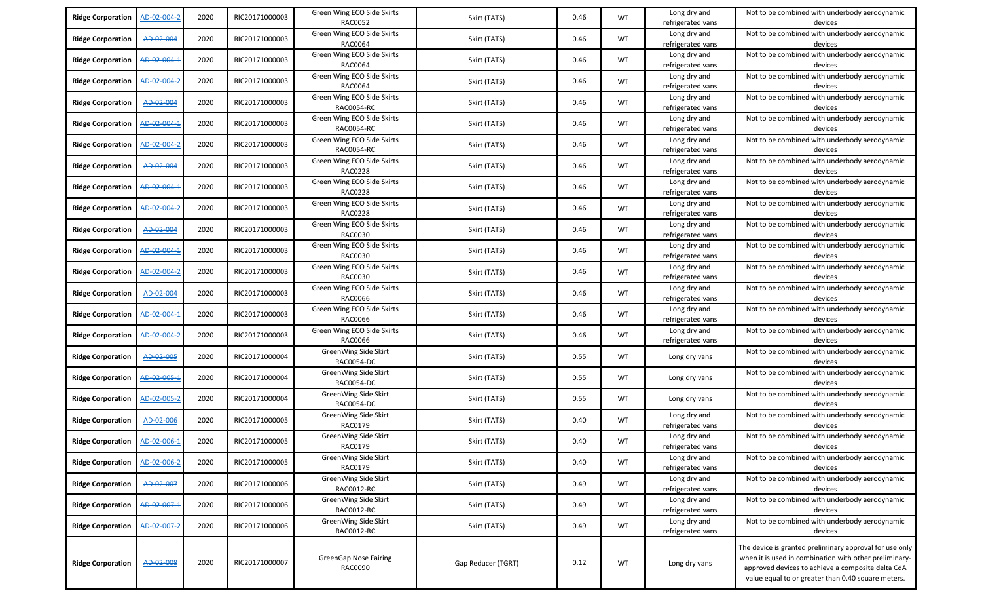| <b>Ridge Corporation</b> | AD-02-004-2 | 2020 | RIC20171000003 | Green Wing ECO Side Skirts<br><b>RAC0052</b> | Skirt (TATS)       | 0.46 | <b>WT</b> | Long dry and<br>refrigerated vans | Not to be combined with underbody aerodynamic<br>devices                                                                                                                                                                     |
|--------------------------|-------------|------|----------------|----------------------------------------------|--------------------|------|-----------|-----------------------------------|------------------------------------------------------------------------------------------------------------------------------------------------------------------------------------------------------------------------------|
| <b>Ridge Corporation</b> | AD-02-004   | 2020 | RIC20171000003 | Green Wing ECO Side Skirts<br>RAC0064        | Skirt (TATS)       | 0.46 | WT        | Long dry and<br>refrigerated vans | Not to be combined with underbody aerodynamic<br>devices                                                                                                                                                                     |
| <b>Ridge Corporation</b> | AD-02-004-1 | 2020 | RIC20171000003 | Green Wing ECO Side Skirts<br>RAC0064        | Skirt (TATS)       | 0.46 | <b>WT</b> | Long dry and<br>refrigerated vans | Not to be combined with underbody aerodynamic<br>devices                                                                                                                                                                     |
| <b>Ridge Corporation</b> | AD-02-004-2 | 2020 | RIC20171000003 | Green Wing ECO Side Skirts<br>RAC0064        | Skirt (TATS)       | 0.46 | WT        | Long dry and<br>refrigerated vans | Not to be combined with underbody aerodynamic<br>devices                                                                                                                                                                     |
| <b>Ridge Corporation</b> | AD-02-004   | 2020 | RIC20171000003 | Green Wing ECO Side Skirts<br>RAC0054-RC     | Skirt (TATS)       | 0.46 | WT        | Long dry and<br>refrigerated vans | Not to be combined with underbody aerodynamic<br>devices                                                                                                                                                                     |
| <b>Ridge Corporation</b> | AD-02-004-1 | 2020 | RIC20171000003 | Green Wing ECO Side Skirts<br>RAC0054-RC     | Skirt (TATS)       | 0.46 | WT        | Long dry and<br>refrigerated vans | Not to be combined with underbody aerodynamic<br>devices                                                                                                                                                                     |
| <b>Ridge Corporation</b> | AD-02-004-2 | 2020 | RIC20171000003 | Green Wing ECO Side Skirts<br>RAC0054-RC     | Skirt (TATS)       | 0.46 | WT        | Long dry and<br>refrigerated vans | Not to be combined with underbody aerodynamic<br>devices                                                                                                                                                                     |
| <b>Ridge Corporation</b> | AD-02-004   | 2020 | RIC20171000003 | Green Wing ECO Side Skirts<br><b>RAC0228</b> | Skirt (TATS)       | 0.46 | <b>WT</b> | Long dry and<br>refrigerated vans | Not to be combined with underbody aerodynamic<br>devices                                                                                                                                                                     |
| <b>Ridge Corporation</b> | AD-02-004-1 | 2020 | RIC20171000003 | Green Wing ECO Side Skirts<br><b>RAC0228</b> | Skirt (TATS)       | 0.46 | WT        | Long dry and<br>refrigerated vans | Not to be combined with underbody aerodynamic<br>devices                                                                                                                                                                     |
| <b>Ridge Corporation</b> | AD-02-004-2 | 2020 | RIC20171000003 | Green Wing ECO Side Skirts<br><b>RAC0228</b> | Skirt (TATS)       | 0.46 | WT        | Long dry and<br>refrigerated vans | Not to be combined with underbody aerodynamic<br>devices                                                                                                                                                                     |
| <b>Ridge Corporation</b> | AD-02-004   | 2020 | RIC20171000003 | Green Wing ECO Side Skirts<br>RAC0030        | Skirt (TATS)       | 0.46 | <b>WT</b> | Long dry and<br>refrigerated vans | Not to be combined with underbody aerodynamic<br>devices                                                                                                                                                                     |
| <b>Ridge Corporation</b> | AD-02-004-1 | 2020 | RIC20171000003 | Green Wing ECO Side Skirts<br>RAC0030        | Skirt (TATS)       | 0.46 | <b>WT</b> | Long dry and<br>refrigerated vans | Not to be combined with underbody aerodynamic<br>devices                                                                                                                                                                     |
| <b>Ridge Corporation</b> | AD-02-004-2 | 2020 | RIC20171000003 | Green Wing ECO Side Skirts<br>RAC0030        | Skirt (TATS)       | 0.46 | <b>WT</b> | Long dry and<br>refrigerated vans | Not to be combined with underbody aerodynamic<br>devices                                                                                                                                                                     |
| <b>Ridge Corporation</b> | AD-02-004   | 2020 | RIC20171000003 | Green Wing ECO Side Skirts<br>RAC0066        | Skirt (TATS)       | 0.46 | <b>WT</b> | Long dry and<br>refrigerated vans | Not to be combined with underbody aerodynamic<br>devices                                                                                                                                                                     |
| <b>Ridge Corporation</b> | AD-02-004-1 | 2020 | RIC20171000003 | Green Wing ECO Side Skirts<br>RAC0066        | Skirt (TATS)       | 0.46 | <b>WT</b> | Long dry and<br>refrigerated vans | Not to be combined with underbody aerodynamic<br>devices                                                                                                                                                                     |
| <b>Ridge Corporation</b> | AD-02-004-2 | 2020 | RIC20171000003 | Green Wing ECO Side Skirts<br>RAC0066        | Skirt (TATS)       | 0.46 | <b>WT</b> | Long dry and<br>refrigerated vans | Not to be combined with underbody aerodynamic<br>devices                                                                                                                                                                     |
| <b>Ridge Corporation</b> | AD-02-005   | 2020 | RIC20171000004 | GreenWing Side Skirt<br>RAC0054-DC           | Skirt (TATS)       | 0.55 | WT        | Long dry vans                     | Not to be combined with underbody aerodynamic<br>devices                                                                                                                                                                     |
| <b>Ridge Corporation</b> | AD-02-005-1 | 2020 | RIC20171000004 | GreenWing Side Skirt<br>RAC0054-DC           | Skirt (TATS)       | 0.55 | WT        | Long dry vans                     | Not to be combined with underbody aerodynamic<br>devices                                                                                                                                                                     |
| <b>Ridge Corporation</b> | AD-02-005-2 | 2020 | RIC20171000004 | GreenWing Side Skirt<br>RAC0054-DC           | Skirt (TATS)       | 0.55 | <b>WT</b> | Long dry vans                     | Not to be combined with underbody aerodynamic<br>devices                                                                                                                                                                     |
| <b>Ridge Corporation</b> | AD-02-006   | 2020 | RIC20171000005 | GreenWing Side Skirt<br>RAC0179              | Skirt (TATS)       | 0.40 | WT        | Long dry and<br>refrigerated vans | Not to be combined with underbody aerodynamic<br>devices                                                                                                                                                                     |
| <b>Ridge Corporation</b> | AD-02-006-1 | 2020 | RIC20171000005 | GreenWing Side Skirt<br>RAC0179              | Skirt (TATS)       | 0.40 | <b>WT</b> | Long dry and<br>refrigerated vans | Not to be combined with underbody aerodynamic<br>devices                                                                                                                                                                     |
| <b>Ridge Corporation</b> | AD-02-006-2 | 2020 | RIC20171000005 | GreenWing Side Skirt<br>RAC0179              | Skirt (TATS)       | 0.40 | <b>WT</b> | Long dry and<br>refrigerated vans | Not to be combined with underbody aerodynamic<br>devices                                                                                                                                                                     |
| <b>Ridge Corporation</b> | AD-02-007   | 2020 | RIC20171000006 | GreenWing Side Skirt<br>RAC0012-RC           | Skirt (TATS)       | 0.49 | WT        | Long dry and<br>refrigerated vans | Not to be combined with underbody aerodynamic<br>devices                                                                                                                                                                     |
| <b>Ridge Corporation</b> | AD-02-007-1 | 2020 | RIC20171000006 | GreenWing Side Skirt<br>RAC0012-RC           | Skirt (TATS)       | 0.49 | <b>WT</b> | Long dry and<br>refrigerated vans | Not to be combined with underbody aerodynamic<br>devices                                                                                                                                                                     |
| <b>Ridge Corporation</b> | AD-02-007-2 | 2020 | RIC20171000006 | GreenWing Side Skirt<br>RAC0012-RC           | Skirt (TATS)       | 0.49 | WT        | Long dry and<br>refrigerated vans | Not to be combined with underbody aerodynamic<br>devices                                                                                                                                                                     |
| <b>Ridge Corporation</b> | AD-02-008   | 2020 | RIC20171000007 | <b>GreenGap Nose Fairing</b><br>RAC0090      | Gap Reducer (TGRT) | 0.12 | WT        | Long dry vans                     | The device is granted preliminary approval for use only<br>when it is used in combination with other preliminary-<br>approved devices to achieve a composite delta CdA<br>value equal to or greater than 0.40 square meters. |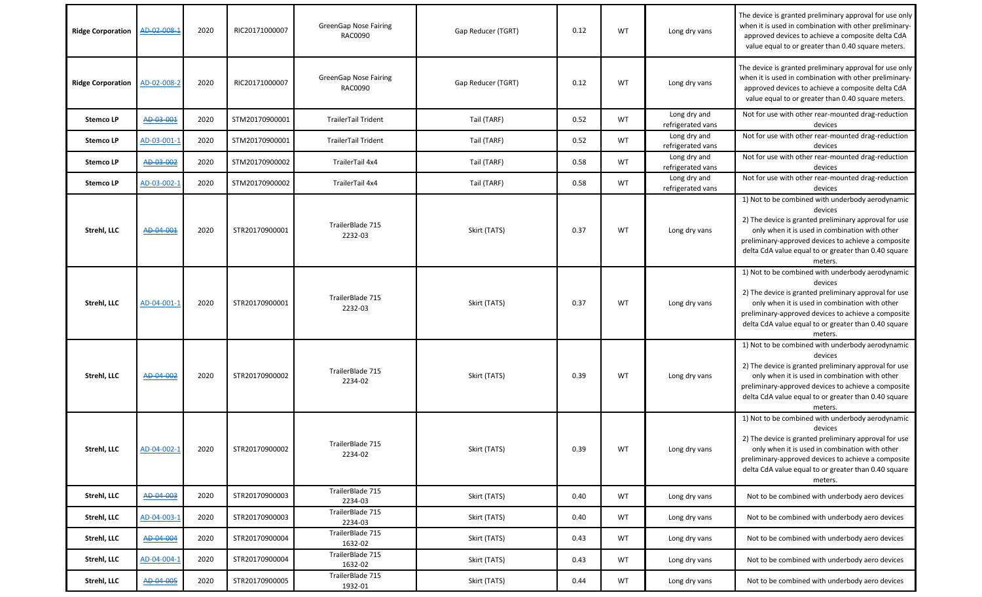| <b>Ridge Corporation</b> | AD-02-008-1 | 2020 | RIC20171000007 | <b>GreenGap Nose Fairing</b><br>RAC0090 | Gap Reducer (TGRT) | 0.12 | WT        | Long dry vans                     | The device is granted preliminary approval for use only<br>when it is used in combination with other preliminary-<br>approved devices to achieve a composite delta CdA<br>value equal to or greater than 0.40 square meters.                                                                     |
|--------------------------|-------------|------|----------------|-----------------------------------------|--------------------|------|-----------|-----------------------------------|--------------------------------------------------------------------------------------------------------------------------------------------------------------------------------------------------------------------------------------------------------------------------------------------------|
| <b>Ridge Corporation</b> | AD-02-008-2 | 2020 | RIC20171000007 | <b>GreenGap Nose Fairing</b><br>RAC0090 | Gap Reducer (TGRT) | 0.12 | WT        | Long dry vans                     | The device is granted preliminary approval for use only<br>when it is used in combination with other preliminary-<br>approved devices to achieve a composite delta CdA<br>value equal to or greater than 0.40 square meters.                                                                     |
| <b>StemcoLP</b>          | AD-03-001   | 2020 | STM20170900001 | <b>TrailerTail Trident</b>              | Tail (TARF)        | 0.52 | WT        | Long dry and<br>refrigerated vans | Not for use with other rear-mounted drag-reduction<br>devices                                                                                                                                                                                                                                    |
| <b>StemcoLP</b>          | AD-03-001-1 | 2020 | STM20170900001 | <b>TrailerTail Trident</b>              | Tail (TARF)        | 0.52 | WT        | Long dry and<br>refrigerated vans | Not for use with other rear-mounted drag-reduction<br>devices                                                                                                                                                                                                                                    |
| <b>StemcoLP</b>          | AD-03-002   | 2020 | STM20170900002 | TrailerTail 4x4                         | Tail (TARF)        | 0.58 | WT        | Long dry and<br>refrigerated vans | Not for use with other rear-mounted drag-reduction<br>devices                                                                                                                                                                                                                                    |
| <b>StemcoLP</b>          | AD-03-002-1 | 2020 | STM20170900002 | TrailerTail 4x4                         | Tail (TARF)        | 0.58 | WT        | Long dry and<br>refrigerated vans | Not for use with other rear-mounted drag-reduction<br>devices                                                                                                                                                                                                                                    |
| Strehl, LLC              | AD-04-001   | 2020 | STR20170900001 | TrailerBlade 715<br>2232-03             | Skirt (TATS)       | 0.37 | WT        | Long dry vans                     | 1) Not to be combined with underbody aerodynamic<br>devices<br>2) The device is granted preliminary approval for use<br>only when it is used in combination with other<br>preliminary-approved devices to achieve a composite<br>delta CdA value equal to or greater than 0.40 square<br>meters. |
| Strehl, LLC              | AD-04-001-1 | 2020 | STR20170900001 | TrailerBlade 715<br>2232-03             | Skirt (TATS)       | 0.37 | WT        | Long dry vans                     | 1) Not to be combined with underbody aerodynamic<br>devices<br>2) The device is granted preliminary approval for use<br>only when it is used in combination with other<br>preliminary-approved devices to achieve a composite<br>delta CdA value equal to or greater than 0.40 square<br>meters. |
| Strehl, LLC              | AD-04-002   | 2020 | STR20170900002 | TrailerBlade 715<br>2234-02             | Skirt (TATS)       | 0.39 | WT        | Long dry vans                     | 1) Not to be combined with underbody aerodynamic<br>devices<br>2) The device is granted preliminary approval for use<br>only when it is used in combination with other<br>preliminary-approved devices to achieve a composite<br>delta CdA value equal to or greater than 0.40 square<br>meters. |
| Strehl, LLC              | AD-04-002-1 | 2020 | STR20170900002 | TrailerBlade 715<br>2234-02             | Skirt (TATS)       | 0.39 | WT        | Long dry vans                     | 1) Not to be combined with underbody aerodynamic<br>devices<br>2) The device is granted preliminary approval for use<br>only when it is used in combination with other<br>preliminary-approved devices to achieve a composite<br>delta CdA value equal to or greater than 0.40 square<br>meters. |
| Strehl, LLC              | AD-04-003   | 2020 | STR20170900003 | TrailerBlade 715<br>2234-03             | Skirt (TATS)       | 0.40 | <b>WT</b> | Long dry vans                     | Not to be combined with underbody aero devices                                                                                                                                                                                                                                                   |
| Strehl, LLC              | AD-04-003-1 | 2020 | STR20170900003 | TrailerBlade 715<br>2234-03             | Skirt (TATS)       | 0.40 | WT        | Long dry vans                     | Not to be combined with underbody aero devices                                                                                                                                                                                                                                                   |
| Strehl, LLC              | AD-04-004   | 2020 | STR20170900004 | TrailerBlade 715<br>1632-02             | Skirt (TATS)       | 0.43 | WT        | Long dry vans                     | Not to be combined with underbody aero devices                                                                                                                                                                                                                                                   |
| Strehl, LLC              | AD-04-004-1 | 2020 | STR20170900004 | TrailerBlade 715<br>1632-02             | Skirt (TATS)       | 0.43 | WT        | Long dry vans                     | Not to be combined with underbody aero devices                                                                                                                                                                                                                                                   |
| Strehl, LLC              | AD-04-005   | 2020 | STR20170900005 | TrailerBlade 715<br>1932-01             | Skirt (TATS)       | 0.44 | WT        | Long dry vans                     | Not to be combined with underbody aero devices                                                                                                                                                                                                                                                   |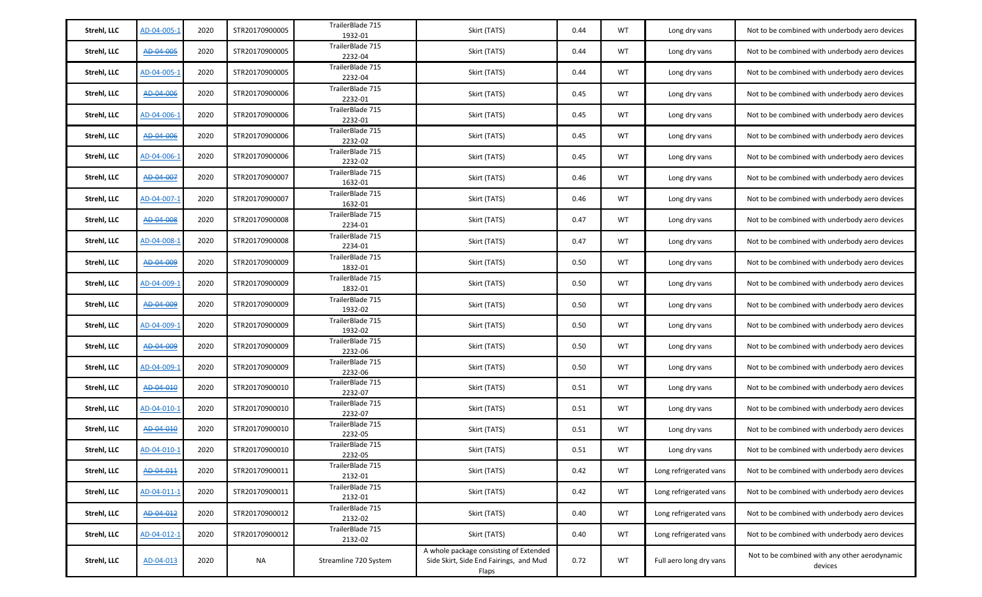| Strehl, LLC | AD-04-005-1 | 2020 | STR20170900005 | TrailerBlade 715<br>1932-01 | Skirt (TATS)                                                                              | 0.44 | WT        | Long dry vans           | Not to be combined with underbody aero devices           |
|-------------|-------------|------|----------------|-----------------------------|-------------------------------------------------------------------------------------------|------|-----------|-------------------------|----------------------------------------------------------|
| Strehl, LLC | AD-04-005   | 2020 | STR20170900005 | TrailerBlade 715<br>2232-04 | Skirt (TATS)                                                                              | 0.44 | <b>WT</b> | Long dry vans           | Not to be combined with underbody aero devices           |
| Strehl, LLC | AD-04-005-2 | 2020 | STR20170900005 | TrailerBlade 715<br>2232-04 | Skirt (TATS)                                                                              | 0.44 | WT        | Long dry vans           | Not to be combined with underbody aero devices           |
| Strehl, LLC | AD-04-006   | 2020 | STR20170900006 | TrailerBlade 715<br>2232-01 | Skirt (TATS)                                                                              | 0.45 | WT        | Long dry vans           | Not to be combined with underbody aero devices           |
| Strehl, LLC | AD-04-006-1 | 2020 | STR20170900006 | TrailerBlade 715<br>2232-01 | Skirt (TATS)                                                                              | 0.45 | WT        | Long dry vans           | Not to be combined with underbody aero devices           |
| Strehl, LLC | AD-04-006   | 2020 | STR20170900006 | TrailerBlade 715<br>2232-02 | Skirt (TATS)                                                                              | 0.45 | WT        | Long dry vans           | Not to be combined with underbody aero devices           |
| Strehl, LLC | AD-04-006-1 | 2020 | STR20170900006 | TrailerBlade 715<br>2232-02 | Skirt (TATS)                                                                              | 0.45 | WT        | Long dry vans           | Not to be combined with underbody aero devices           |
| Strehl, LLC | AD-04-007   | 2020 | STR20170900007 | TrailerBlade 715<br>1632-01 | Skirt (TATS)                                                                              | 0.46 | WT        | Long dry vans           | Not to be combined with underbody aero devices           |
| Strehl, LLC | AD-04-007-1 | 2020 | STR20170900007 | TrailerBlade 715<br>1632-01 | Skirt (TATS)                                                                              | 0.46 | <b>WT</b> | Long dry vans           | Not to be combined with underbody aero devices           |
| Strehl, LLC | AD-04-008   | 2020 | STR20170900008 | TrailerBlade 715<br>2234-01 | Skirt (TATS)                                                                              | 0.47 | <b>WT</b> | Long dry vans           | Not to be combined with underbody aero devices           |
| Strehl, LLC | AD-04-008-1 | 2020 | STR20170900008 | TrailerBlade 715<br>2234-01 | Skirt (TATS)                                                                              | 0.47 | WT        | Long dry vans           | Not to be combined with underbody aero devices           |
| Strehl, LLC | AD-04-009   | 2020 | STR20170900009 | TrailerBlade 715<br>1832-01 | Skirt (TATS)                                                                              | 0.50 | WT        | Long dry vans           | Not to be combined with underbody aero devices           |
| Strehl, LLC | AD-04-009-1 | 2020 | STR20170900009 | TrailerBlade 715<br>1832-01 | Skirt (TATS)                                                                              | 0.50 | WT        | Long dry vans           | Not to be combined with underbody aero devices           |
| Strehl, LLC | AD-04-009   | 2020 | STR20170900009 | TrailerBlade 715<br>1932-02 | Skirt (TATS)                                                                              | 0.50 | WT        | Long dry vans           | Not to be combined with underbody aero devices           |
| Strehl, LLC | AD-04-009-1 | 2020 | STR20170900009 | TrailerBlade 715<br>1932-02 | Skirt (TATS)                                                                              | 0.50 | WT        | Long dry vans           | Not to be combined with underbody aero devices           |
| Strehl, LLC | AD-04-009   | 2020 | STR20170900009 | TrailerBlade 715<br>2232-06 | Skirt (TATS)                                                                              | 0.50 | WT        | Long dry vans           | Not to be combined with underbody aero devices           |
| Strehl, LLC | AD-04-009-1 | 2020 | STR20170900009 | TrailerBlade 715<br>2232-06 | Skirt (TATS)                                                                              | 0.50 | WT        | Long dry vans           | Not to be combined with underbody aero devices           |
| Strehl, LLC | AD-04-010   | 2020 | STR20170900010 | TrailerBlade 715<br>2232-07 | Skirt (TATS)                                                                              | 0.51 | WT        | Long dry vans           | Not to be combined with underbody aero devices           |
| Strehl, LLC | AD-04-010-1 | 2020 | STR20170900010 | TrailerBlade 715<br>2232-07 | Skirt (TATS)                                                                              | 0.51 | WT        | Long dry vans           | Not to be combined with underbody aero devices           |
| Strehl, LLC | AD-04-010   | 2020 | STR20170900010 | TrailerBlade 715<br>2232-05 | Skirt (TATS)                                                                              | 0.51 | WT        | Long dry vans           | Not to be combined with underbody aero devices           |
| Strehl, LLC | AD-04-010-1 | 2020 | STR20170900010 | TrailerBlade 715<br>2232-05 | Skirt (TATS)                                                                              | 0.51 | WT        | Long dry vans           | Not to be combined with underbody aero devices           |
| Strehl, LLC | AD-04-011   | 2020 | STR20170900011 | TrailerBlade 715<br>2132-01 | Skirt (TATS)                                                                              | 0.42 | <b>WT</b> | Long refrigerated vans  | Not to be combined with underbody aero devices           |
| Strehl, LLC | AD-04-011-1 | 2020 | STR20170900011 | TrailerBlade 715<br>2132-01 | Skirt (TATS)                                                                              | 0.42 | <b>WT</b> | Long refrigerated vans  | Not to be combined with underbody aero devices           |
| Strehl, LLC | AD-04-012   | 2020 | STR20170900012 | TrailerBlade 715<br>2132-02 | Skirt (TATS)                                                                              | 0.40 | <b>WT</b> | Long refrigerated vans  | Not to be combined with underbody aero devices           |
| Strehl, LLC | AD-04-012-1 | 2020 | STR20170900012 | TrailerBlade 715<br>2132-02 | Skirt (TATS)                                                                              | 0.40 | WT        | Long refrigerated vans  | Not to be combined with underbody aero devices           |
| Strehl, LLC | AD-04-013   | 2020 | <b>NA</b>      | Streamline 720 System       | A whole package consisting of Extended<br>Side Skirt, Side End Fairings, and Mud<br>Flaps | 0.72 | WT        | Full aero long dry vans | Not to be combined with any other aerodynamic<br>devices |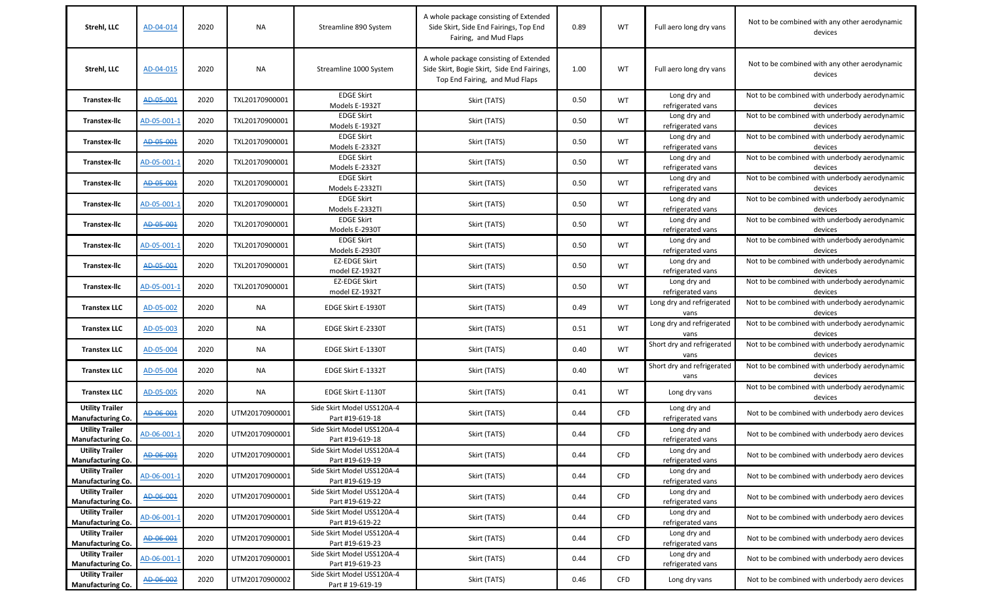| Strehl, LLC                                        | AD-04-014   | 2020 | NA             | Streamline 890 System                         | A whole package consisting of Extended<br>Side Skirt, Side End Fairings, Top End<br>Fairing, and Mud Flaps              | 0.89 | WT         | Full aero long dry vans            | Not to be combined with any other aerodynamic<br>devices |
|----------------------------------------------------|-------------|------|----------------|-----------------------------------------------|-------------------------------------------------------------------------------------------------------------------------|------|------------|------------------------------------|----------------------------------------------------------|
| Strehl, LLC                                        | AD-04-015   | 2020 | NA             | Streamline 1000 System                        | A whole package consisting of Extended<br>Side Skirt, Bogie Skirt, Side End Fairings,<br>Top End Fairing, and Mud Flaps | 1.00 | WT         | Full aero long dry vans            | Not to be combined with any other aerodynamic<br>devices |
| <b>Transtex-Ilc</b>                                | AD-05-001   | 2020 | TXL20170900001 | <b>EDGE Skirt</b><br>Models E-1932T           | Skirt (TATS)                                                                                                            | 0.50 | <b>WT</b>  | Long dry and<br>refrigerated vans  | Not to be combined with underbody aerodynamic<br>devices |
| <b>Transtex-Ilc</b>                                | AD-05-001-1 | 2020 | TXL20170900001 | <b>EDGE Skirt</b><br>Models E-1932T           | Skirt (TATS)                                                                                                            | 0.50 | <b>WT</b>  | Long dry and<br>refrigerated vans  | Not to be combined with underbody aerodynamic<br>devices |
| <b>Transtex-Ilc</b>                                | AD-05-001   | 2020 | TXL20170900001 | <b>EDGE Skirt</b><br>Models E-2332T           | Skirt (TATS)                                                                                                            | 0.50 | <b>WT</b>  | Long dry and<br>refrigerated vans  | Not to be combined with underbody aerodynamic<br>devices |
| <b>Transtex-Ilc</b>                                | AD-05-001-1 | 2020 | TXL20170900001 | <b>EDGE Skirt</b><br>Models E-2332T           | Skirt (TATS)                                                                                                            | 0.50 | WT         | Long dry and<br>refrigerated vans  | Not to be combined with underbody aerodynamic<br>devices |
| <b>Transtex-Ilc</b>                                | AD-05-001   | 2020 | TXL20170900001 | <b>EDGE Skirt</b><br>Models E-2332TI          | Skirt (TATS)                                                                                                            | 0.50 | <b>WT</b>  | Long dry and<br>refrigerated vans  | Not to be combined with underbody aerodynamic<br>devices |
| <b>Transtex-Ilc</b>                                | AD-05-001-1 | 2020 | TXL20170900001 | <b>EDGE Skirt</b><br>Models E-2332TI          | Skirt (TATS)                                                                                                            | 0.50 | WT         | Long dry and<br>refrigerated vans  | Not to be combined with underbody aerodynamic<br>devices |
| <b>Transtex-Ilc</b>                                | AD-05-001   | 2020 | TXL20170900001 | <b>EDGE Skirt</b><br>Models E-2930T           | Skirt (TATS)                                                                                                            | 0.50 | <b>WT</b>  | Long dry and<br>refrigerated vans  | Not to be combined with underbody aerodynamic<br>devices |
| <b>Transtex-Ilc</b>                                | AD-05-001-1 | 2020 | TXL20170900001 | <b>EDGE Skirt</b><br>Models E-2930T           | Skirt (TATS)                                                                                                            | 0.50 | WT         | Long dry and<br>refrigerated vans  | Not to be combined with underbody aerodynamic<br>devices |
| <b>Transtex-Ilc</b>                                | AD-05-001   | 2020 | TXL20170900001 | <b>EZ-EDGE Skirt</b><br>model EZ-1932T        | Skirt (TATS)                                                                                                            | 0.50 | WT         | Long dry and<br>refrigerated vans  | Not to be combined with underbody aerodynamic<br>devices |
| <b>Transtex-Ilc</b>                                | AD-05-001-1 | 2020 | TXL20170900001 | <b>EZ-EDGE Skirt</b><br>model EZ-1932T        | Skirt (TATS)                                                                                                            | 0.50 | <b>WT</b>  | Long dry and<br>refrigerated vans  | Not to be combined with underbody aerodynamic<br>devices |
| <b>Transtex LLC</b>                                | AD-05-002   | 2020 | NA             | EDGE Skirt E-1930T                            | Skirt (TATS)                                                                                                            | 0.49 | WT         | Long dry and refrigerated<br>vans  | Not to be combined with underbody aerodynamic<br>devices |
| <b>Transtex LLC</b>                                | AD-05-003   | 2020 | <b>NA</b>      | EDGE Skirt E-2330T                            | Skirt (TATS)                                                                                                            | 0.51 | <b>WT</b>  | Long dry and refrigerated<br>vans  | Not to be combined with underbody aerodynamic<br>devices |
| <b>Transtex LLC</b>                                | AD-05-004   | 2020 | NA             | EDGE Skirt E-1330T                            | Skirt (TATS)                                                                                                            | 0.40 | <b>WT</b>  | Short dry and refrigerated<br>vans | Not to be combined with underbody aerodynamic<br>devices |
| <b>Transtex LLC</b>                                | AD-05-004   | 2020 | <b>NA</b>      | EDGE Skirt E-1332T                            | Skirt (TATS)                                                                                                            | 0.40 | <b>WT</b>  | Short dry and refrigerated<br>vans | Not to be combined with underbody aerodynamic<br>devices |
| <b>Transtex LLC</b>                                | AD-05-005   | 2020 | NA             | EDGE Skirt E-1130T                            | Skirt (TATS)                                                                                                            | 0.41 | <b>WT</b>  | Long dry vans                      | Not to be combined with underbody aerodynamic<br>devices |
| <b>Utility Trailer</b><br><b>Manufacturing Co.</b> | AD-06-001   | 2020 | UTM20170900001 | Side Skirt Model USS120A-4<br>Part #19-619-18 | Skirt (TATS)                                                                                                            | 0.44 | CFD        | Long dry and<br>refrigerated vans  | Not to be combined with underbody aero devices           |
| <b>Utility Trailer</b><br><b>Manufacturing Co.</b> | AD-06-001-1 | 2020 | UTM20170900001 | Side Skirt Model USS120A-4<br>Part #19-619-18 | Skirt (TATS)                                                                                                            | 0.44 | <b>CFD</b> | Long dry and<br>refrigerated vans  | Not to be combined with underbody aero devices           |
| <b>Utility Trailer</b><br><b>Manufacturing Co.</b> | AD-06-001   | 2020 | UTM20170900001 | Side Skirt Model USS120A-4<br>Part #19-619-19 | Skirt (TATS)                                                                                                            | 0.44 | <b>CFD</b> | Long dry and<br>refrigerated vans  | Not to be combined with underbody aero devices           |
| <b>Utility Trailer</b><br><b>Manufacturing Co.</b> | AD-06-001-1 | 2020 | UTM20170900001 | Side Skirt Model USS120A-4<br>Part #19-619-19 | Skirt (TATS)                                                                                                            | 0.44 | <b>CFD</b> | Long dry and<br>refrigerated vans  | Not to be combined with underbody aero devices           |
| <b>Utility Trailer</b><br>Manufacturing Co.        | AD-06-001   | 2020 | UTM20170900001 | Side Skirt Model USS120A-4<br>Part #19-619-22 | Skirt (TATS)                                                                                                            | 0.44 | <b>CFD</b> | Long dry and<br>refrigerated vans  | Not to be combined with underbody aero devices           |
| <b>Utility Trailer</b><br><b>Manufacturing Co.</b> | AD-06-001-1 | 2020 | UTM20170900001 | Side Skirt Model USS120A-4<br>Part #19-619-22 | Skirt (TATS)                                                                                                            | 0.44 | CFD        | Long dry and<br>refrigerated vans  | Not to be combined with underbody aero devices           |
| <b>Utility Trailer</b><br>Manufacturing Co.        | AD-06-001   | 2020 | UTM20170900001 | Side Skirt Model USS120A-4<br>Part #19-619-23 | Skirt (TATS)                                                                                                            | 0.44 | CFD        | Long dry and<br>refrigerated vans  | Not to be combined with underbody aero devices           |
| <b>Utility Trailer</b><br><b>Manufacturing Co.</b> | AD-06-001-1 | 2020 | UTM20170900001 | Side Skirt Model USS120A-4<br>Part #19-619-23 | Skirt (TATS)                                                                                                            | 0.44 | CFD        | Long dry and<br>refrigerated vans  | Not to be combined with underbody aero devices           |
| <b>Utility Trailer</b><br><b>Manufacturing Co.</b> | AD-06-002   | 2020 | UTM20170900002 | Side Skirt Model USS120A-4<br>Part #19-619-19 | Skirt (TATS)                                                                                                            | 0.46 | CFD        | Long dry vans                      | Not to be combined with underbody aero devices           |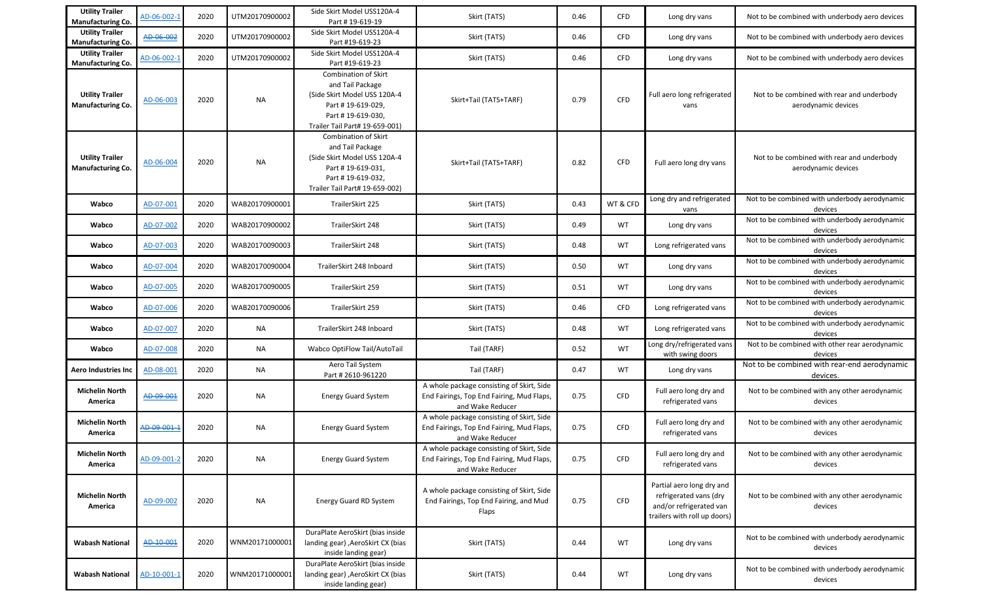| <b>Utility Trailer</b><br>Manufacturing Co.        | AD-06-002-1 | 2020 | UTM20170900002 | Side Skirt Model USS120A-4<br>Part #19-619-19                                                                                                               | Skirt (TATS)                                                                                               | 0.46 | <b>CFD</b> | Long dry vans                                                                                                  | Not to be combined with underbody aero devices                    |
|----------------------------------------------------|-------------|------|----------------|-------------------------------------------------------------------------------------------------------------------------------------------------------------|------------------------------------------------------------------------------------------------------------|------|------------|----------------------------------------------------------------------------------------------------------------|-------------------------------------------------------------------|
| <b>Utility Trailer</b><br>Manufacturing Co.        | AD-06-002   | 2020 | UTM20170900002 | Side Skirt Model USS120A-4<br>Part #19-619-23                                                                                                               | Skirt (TATS)                                                                                               | 0.46 | <b>CFD</b> | Long dry vans                                                                                                  | Not to be combined with underbody aero devices                    |
| <b>Utility Trailer</b><br><b>Manufacturing Co.</b> | AD-06-002-1 | 2020 | UTM20170900002 | Side Skirt Model USS120A-4<br>Part #19-619-23                                                                                                               | Skirt (TATS)                                                                                               | 0.46 | <b>CFD</b> | Long dry vans                                                                                                  | Not to be combined with underbody aero devices                    |
| <b>Utility Trailer</b><br>Manufacturing Co.        | AD-06-003   | 2020 | <b>NA</b>      | Combination of Skirt<br>and Tail Package<br>(Side Skirt Model USS 120A-4<br>Part #19-619-029,<br>Part #19-619-030.<br>Trailer Tail Part# 19-659-001)        | Skirt+Tail (TATS+TARF)                                                                                     | 0.79 | CFD        | Full aero long refrigerated<br>vans                                                                            | Not to be combined with rear and underbody<br>aerodynamic devices |
| <b>Utility Trailer</b><br>Manufacturing Co.        | AD-06-004   | 2020 | <b>NA</b>      | <b>Combination of Skirt</b><br>and Tail Package<br>(Side Skirt Model USS 120A-4<br>Part #19-619-031,<br>Part #19-619-032,<br>Trailer Tail Part# 19-659-002) | Skirt+Tail (TATS+TARF)                                                                                     | 0.82 | <b>CFD</b> | Full aero long dry vans                                                                                        | Not to be combined with rear and underbody<br>aerodynamic devices |
| Wabco                                              | AD-07-001   | 2020 | WAB20170900001 | TrailerSkirt 225                                                                                                                                            | Skirt (TATS)                                                                                               | 0.43 | WT & CFD   | Long dry and refrigerated<br>vans                                                                              | Not to be combined with underbody aerodynamic<br>devices          |
| Wabco                                              | AD-07-002   | 2020 | WAB20170900002 | TrailerSkirt 248                                                                                                                                            | Skirt (TATS)                                                                                               | 0.49 | <b>WT</b>  | Long dry vans                                                                                                  | Not to be combined with underbody aerodynamic<br>devices          |
| Wabco                                              | AD-07-003   | 2020 | WAB20170090003 | TrailerSkirt 248                                                                                                                                            | Skirt (TATS)                                                                                               | 0.48 | <b>WT</b>  | Long refrigerated vans                                                                                         | Not to be combined with underbody aerodynamic<br>devices          |
| Wabco                                              | AD-07-004   | 2020 | WAB20170090004 | TrailerSkirt 248 Inboard                                                                                                                                    | Skirt (TATS)                                                                                               | 0.50 | WT         | Long dry vans                                                                                                  | Not to be combined with underbody aerodynamic<br>devices          |
| Wabco                                              | AD-07-005   | 2020 | WAB20170090005 | TrailerSkirt 259                                                                                                                                            | Skirt (TATS)                                                                                               | 0.51 | WT         | Long dry vans                                                                                                  | Not to be combined with underbody aerodynamic<br>devices          |
| Wabco                                              | AD-07-006   | 2020 | WAB20170090006 | TrailerSkirt 259                                                                                                                                            | Skirt (TATS)                                                                                               | 0.46 | <b>CFD</b> | Long refrigerated vans                                                                                         | Not to be combined with underbody aerodynamic<br>devices          |
| Wabco                                              | AD-07-007   | 2020 | <b>NA</b>      | TrailerSkirt 248 Inboard                                                                                                                                    | Skirt (TATS)                                                                                               | 0.48 | WT         | Long refrigerated vans                                                                                         | Not to be combined with underbody aerodynamic<br>devices          |
| Wabco                                              | AD-07-008   | 2020 | NA             | Wabco OptiFlow Tail/AutoTail                                                                                                                                | Tail (TARF)                                                                                                | 0.52 | <b>WT</b>  | Long dry/refrigerated vans<br>with swing doors                                                                 | Not to be combined with other rear aerodynamic<br>devices         |
| <b>Aero Industries Inc</b>                         | AD-08-001   | 2020 | <b>NA</b>      | Aero Tail System<br>Part # 2610-961220                                                                                                                      | Tail (TARF)                                                                                                | 0.47 | <b>WT</b>  | Long dry vans                                                                                                  | Not to be combined with rear-end aerodynamic<br>devices.          |
| <b>Michelin North</b><br>America                   | AD-09-001   | 2020 | <b>NA</b>      | <b>Energy Guard System</b>                                                                                                                                  | A whole package consisting of Skirt, Side<br>End Fairings, Top End Fairing, Mud Flaps,<br>and Wake Reducer | 0.75 | CFD        | Full aero long dry and<br>refrigerated vans                                                                    | Not to be combined with any other aerodynamic<br>devices          |
| <b>Michelin North</b><br>America                   | AD-09-001-1 | 2020 | <b>NA</b>      | <b>Energy Guard System</b>                                                                                                                                  | A whole package consisting of Skirt, Side<br>End Fairings, Top End Fairing, Mud Flaps,<br>and Wake Reducer | 0.75 | <b>CFD</b> | Full aero long dry and<br>refrigerated vans                                                                    | Not to be combined with any other aerodynamic<br>devices          |
| <b>Michelin North</b><br>America                   | AD-09-001-2 | 2020 | <b>NA</b>      | <b>Energy Guard System</b>                                                                                                                                  | A whole package consisting of Skirt, Side<br>End Fairings, Top End Fairing, Mud Flaps,<br>and Wake Reducer | 0.75 | <b>CFD</b> | Full aero long dry and<br>refrigerated vans                                                                    | Not to be combined with any other aerodynamic<br>devices          |
| <b>Michelin North</b><br>America                   | AD-09-002   | 2020 | <b>NA</b>      | Energy Guard RD System                                                                                                                                      | A whole package consisting of Skirt, Side<br>End Fairings, Top End Fairing, and Mud<br>Flaps               | 0.75 | <b>CFD</b> | Partial aero long dry and<br>refrigerated vans (dry<br>and/or refrigerated van<br>trailers with roll up doors) | Not to be combined with any other aerodynamic<br>devices          |
| <b>Wabash National</b>                             | AD-10-001   | 2020 | WNM20171000001 | DuraPlate AeroSkirt (bias inside<br>landing gear) , AeroSkirt CX (bias<br>inside landing gear)                                                              | Skirt (TATS)                                                                                               | 0.44 | WT         | Long dry vans                                                                                                  | Not to be combined with underbody aerodynamic<br>devices          |
| Wabash National                                    | AD-10-001-1 | 2020 | WNM20171000001 | DuraPlate AeroSkirt (bias inside<br>landing gear) , AeroSkirt CX (bias<br>inside landing gear)                                                              | Skirt (TATS)                                                                                               | 0.44 | WT         | Long dry vans                                                                                                  | Not to be combined with underbody aerodynamic<br>devices          |